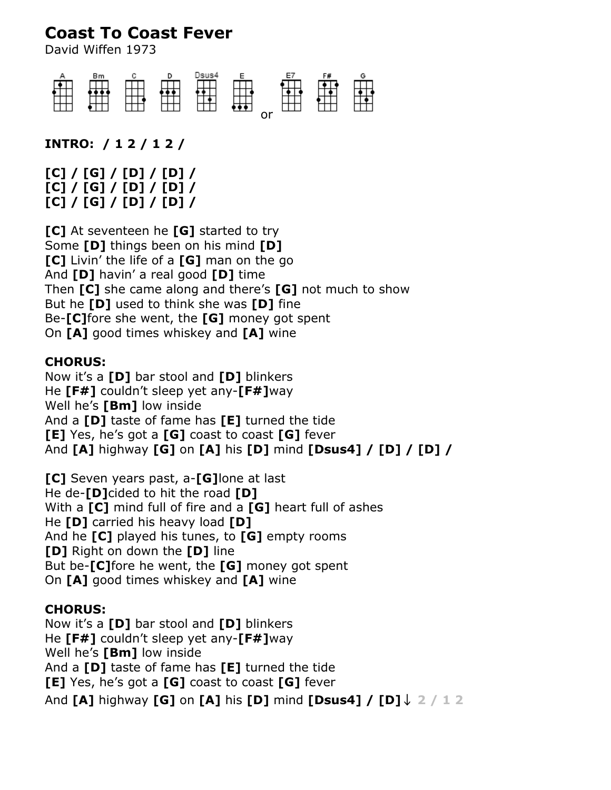# **Coast To Coast Fever**

David Wiffen 1973



**INTRO: / 1 2 / 1 2 /**

**[C] / [G] / [D] / [D] / [C] / [G] / [D] / [D] / [C] / [G] / [D] / [D] /**

**[C]** At seventeen he **[G]** started to try Some **[D]** things been on his mind **[D] [C]** Livin' the life of a **[G]** man on the go And **[D]** havin' a real good **[D]** time Then **[C]** she came along and there's **[G]** not much to show But he **[D]** used to think she was **[D]** fine Be-**[C]**fore she went, the **[G]** money got spent On **[A]** good times whiskey and **[A]** wine

#### **CHORUS:**

Now it's a **[D]** bar stool and **[D]** blinkers He **[F#]** couldn't sleep yet any-**[F#]**way Well he's **[Bm]** low inside And a **[D]** taste of fame has **[E]** turned the tide **[E]** Yes, he's got a **[G]** coast to coast **[G]** fever And **[A]** highway **[G]** on **[A]** his **[D]** mind **[Dsus4] / [D] / [D] /**

**[C]** Seven years past, a-**[G]**lone at last He de-**[D]**cided to hit the road **[D]** With a **[C]** mind full of fire and a **[G]** heart full of ashes He **[D]** carried his heavy load **[D]** And he **[C]** played his tunes, to **[G]** empty rooms **[D]** Right on down the **[D]** line But be-**[C]**fore he went, the **[G]** money got spent On **[A]** good times whiskey and **[A]** wine

### **CHORUS:**

Now it's a **[D]** bar stool and **[D]** blinkers He **[F#]** couldn't sleep yet any-**[F#]**way Well he's **[Bm]** low inside And a **[D]** taste of fame has **[E]** turned the tide **[E]** Yes, he's got a **[G]** coast to coast **[G]** fever And **[A]** highway **[G]** on **[A]** his **[D]** mind **[Dsus4] / [D]↓ 2 / 1 2**